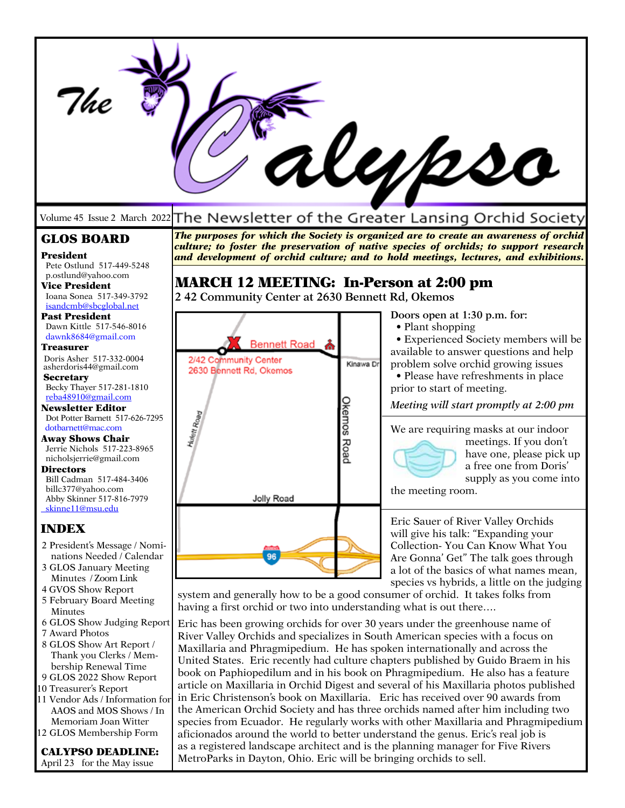|                                                                                                                                                                                                                                                                                                                                                                                                                                                                                                                                                |                                                                                                                                                                                                                                                                                                                                                                                                                                                                                                                                                                                                                                                                                                                                                    |                          | WU/2so                                                                                                                                                                                                                                                                                                                                                                                                                                                            |  |
|------------------------------------------------------------------------------------------------------------------------------------------------------------------------------------------------------------------------------------------------------------------------------------------------------------------------------------------------------------------------------------------------------------------------------------------------------------------------------------------------------------------------------------------------|----------------------------------------------------------------------------------------------------------------------------------------------------------------------------------------------------------------------------------------------------------------------------------------------------------------------------------------------------------------------------------------------------------------------------------------------------------------------------------------------------------------------------------------------------------------------------------------------------------------------------------------------------------------------------------------------------------------------------------------------------|--------------------------|-------------------------------------------------------------------------------------------------------------------------------------------------------------------------------------------------------------------------------------------------------------------------------------------------------------------------------------------------------------------------------------------------------------------------------------------------------------------|--|
| Volume 45 Issue 2 March 2022                                                                                                                                                                                                                                                                                                                                                                                                                                                                                                                   |                                                                                                                                                                                                                                                                                                                                                                                                                                                                                                                                                                                                                                                                                                                                                    |                          | The Newsletter of the Greater Lansing Orchid Society                                                                                                                                                                                                                                                                                                                                                                                                              |  |
| <b>GLOS BOARD</b><br><b>President</b><br>Pete Ostlund 517-449-5248<br>p.ostlund@yahoo.com                                                                                                                                                                                                                                                                                                                                                                                                                                                      |                                                                                                                                                                                                                                                                                                                                                                                                                                                                                                                                                                                                                                                                                                                                                    |                          | The purposes for which the Society is organized are to create an awareness of orchid<br>culture; to foster the preservation of native species of orchids; to support research<br>and development of orchid culture; and to hold meetings, lectures, and exhibitions.                                                                                                                                                                                              |  |
| <b>Vice President</b><br>Ioana Sonea 517-349-3792                                                                                                                                                                                                                                                                                                                                                                                                                                                                                              | <b>MARCH 12 MEETING: In-Person at 2:00 pm</b><br>242 Community Center at 2630 Bennett Rd, Okemos                                                                                                                                                                                                                                                                                                                                                                                                                                                                                                                                                                                                                                                   |                          |                                                                                                                                                                                                                                                                                                                                                                                                                                                                   |  |
| isandcmb@sbcglobal.net<br><b>Past President</b><br>Dawn Kittle 517-546-8016<br>dawnk8684@gmail.com<br><b>Treasurer</b><br>Doris Asher 517-332-0004<br>asherdoris44@gmail.com<br><b>Secretary</b><br>Becky Thayer 517-281-1810<br>reba48910@gmail.com<br>Newsletter Editor<br>Dot Potter Barnett 517-626-7295<br>dotbarnett@mac.com<br><b>Away Shows Chair</b><br>Jerrie Nichols 517-223-8965<br>nicholsjerrie@gmail.com<br><b>Directors</b><br>Bill Cadman 517-484-3406<br>billc377@yahoo.com<br>Abby Skinner 517-816-7979<br>skinne11@msu.edu | <b>Bennett Road</b><br>2/42 Community Center<br>2630 Bennett Rd, Okemos<br><b>Hulett Road</b><br>Jolly Road                                                                                                                                                                                                                                                                                                                                                                                                                                                                                                                                                                                                                                        | Kinawa Dr<br>Okemos Road | Doors open at 1:30 p.m. for:<br>• Plant shopping<br>• Experienced Society members will be<br>available to answer questions and help<br>problem solve orchid growing issues<br>• Please have refreshments in place<br>prior to start of meeting.<br>Meeting will start promptly at 2:00 pm<br>We are requiring masks at our indoor<br>meetings. If you don't<br>have one, please pick up<br>a free one from Doris'<br>supply as you come into<br>the meeting room. |  |
| <b>INDEX</b><br>2 President's Message / Nomi-<br>nations Needed / Calendar<br>3 GLOS January Meeting<br>Minutes / Zoom Link<br>4 GVOS Show Report<br>5 February Board Meeting<br>Minutes<br>6 GLOS Show Judging Report<br>7 Award Photos<br>8 GLOS Show Art Report /<br>Thank you Clerks / Mem-<br>bership Renewal Time                                                                                                                                                                                                                        | Eric Sauer of River Valley Orchids<br>will give his talk: "Expanding your<br>Collection- You Can Know What You<br>96<br>Are Gonna' Get" The talk goes through<br>a lot of the basics of what names mean,<br>species vs hybrids, a little on the judging<br>system and generally how to be a good consumer of orchid. It takes folks from<br>having a first orchid or two into understanding what is out there<br>Eric has been growing orchids for over 30 years under the greenhouse name of<br>River Valley Orchids and specializes in South American species with a focus on<br>Maxillaria and Phragmipedium. He has spoken internationally and across the<br>United States. Eric recently had culture chapters published by Guido Braem in his |                          |                                                                                                                                                                                                                                                                                                                                                                                                                                                                   |  |
| 9 GLOS 2022 Show Report<br>10 Treasurer's Report<br>11 Vendor Ads / Information for<br>AAOS and MOS Shows / In<br>Memoriam Joan Witter<br>12 GLOS Membership Form<br>VDEA NE I NI INE                                                                                                                                                                                                                                                                                                                                                          | book on Paphiopedilum and in his book on Phragmipedium. He also has a feature<br>article on Maxillaria in Orchid Digest and several of his Maxillaria photos published<br>in Eric Christenson's book on Maxillaria. Eric has received over 90 awards from<br>the American Orchid Society and has three orchids named after him including two<br>species from Ecuador. He regularly works with other Maxillaria and Phragmipedium<br>aficionados around the world to better understand the genus. Eric's real job is<br>as a registered landscape architect and is the planning manager for Five Rivers                                                                                                                                             |                          |                                                                                                                                                                                                                                                                                                                                                                                                                                                                   |  |

CALYPSO DEADLINE: April 23 for the May issue

MetroParks in Dayton, Ohio. Eric will be bringing orchids to sell.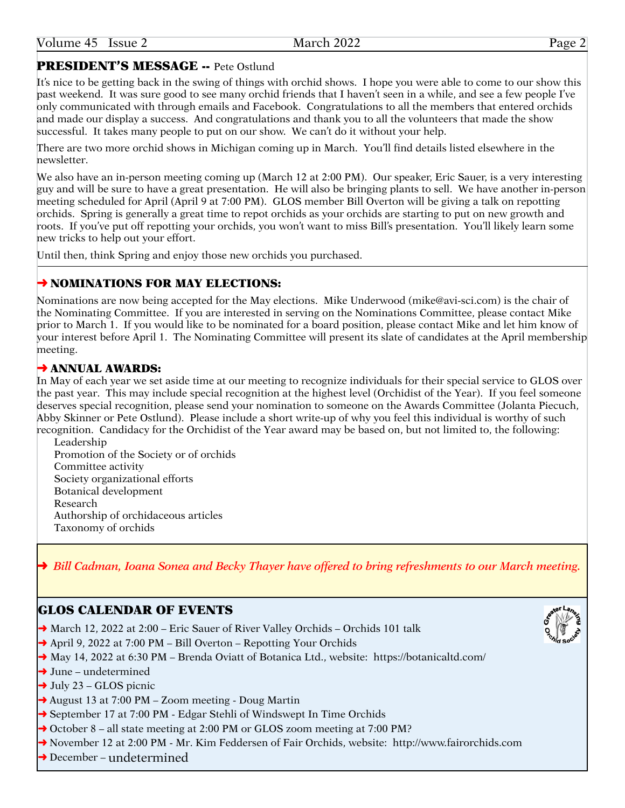# PRESIDENT'S MESSAGE -- Pete Ostlund

It's nice to be getting back in the swing of things with orchid shows. I hope you were able to come to our show this past weekend. It was sure good to see many orchid friends that I haven't seen in a while, and see a few people I've only communicated with through emails and Facebook. Congratulations to all the members that entered orchids and made our display a success. And congratulations and thank you to all the volunteers that made the show successful. It takes many people to put on our show. We can't do it without your help.

There are two more orchid shows in Michigan coming up in March. You'll find details listed elsewhere in the newsletter.

We also have an in-person meeting coming up (March 12 at 2:00 PM). Our speaker, Eric Sauer, is a very interesting guy and will be sure to have a great presentation. He will also be bringing plants to sell. We have another in-person meeting scheduled for April (April 9 at 7:00 PM). GLOS member Bill Overton will be giving a talk on repotting orchids. Spring is generally a great time to repot orchids as your orchids are starting to put on new growth and roots. If you've put off repotting your orchids, you won't want to miss Bill's presentation. You'll likely learn some new tricks to help out your effort.

Until then, think Spring and enjoy those new orchids you purchased.

# **→ NOMINATIONS FOR MAY ELECTIONS:**

Nominations are now being accepted for the May elections. Mike Underwood (mike@<avi-sci.com>) is the chair of the Nominating Committee. If you are interested in serving on the Nominations Committee, please contact Mike prior to March 1. If you would like to be nominated for a board position, please contact Mike and let him know of your interest before April 1. The Nominating Committee will present its slate of candidates at the April membership meeting.

# **→ ANNUAL AWARDS:**

In May of each year we set aside time at our meeting to recognize individuals for their special service to GLOS over the past year. This may include special recognition at the highest level (Orchidist of the Year). If you feel someone deserves special recognition, please send your nomination to someone on the Awards Committee (Jolanta Piecuch, Abby Skinner or Pete Ostlund). Please include a short write-up of why you feel this individual is worthy of such recognition. Candidacy for the Orchidist of the Year award may be based on, but not limited to, the following:

Leadership Promotion of the Society or of orchids Committee activity Society organizational efforts Botanical development Research Authorship of orchidaceous articles Taxonomy of orchids

➜ *Bill Cadman, Ioana Sonea and Becky Thayer have offered to bring refreshments to our March meeting.*

# GLOS CALENDAR OF EVENTS

- → March 12, 2022 at 2:00 Eric Sauer of River Valley Orchids Orchids 101 talk
- ➜ April 9, 2022 at 7:00 PM Bill Overton Repotting Your Orchids
- → May 14, 2022 at 6:30 PM Brenda Oviatt of Botanica Ltd., website: <https://botanicaltd.com>/
- $\rightarrow$  June undetermined
- $\rightarrow$  July 23 GLOS picnic
- ➜ August 13 at 7:00 PM Zoom meeting Doug Martin
- **→** September 17 at 7:00 PM Edgar Stehli of Windswept In Time Orchids
- ➜ October 8 all state meeting at 2:00 PM or GLOS zoom meeting at 7:00 PM?
- ➜ November 12 at 2:00 PM Mr. Kim Feddersen of Fair Orchids, website: <http://www.fairorchids.com>
- ➜ December undetermined

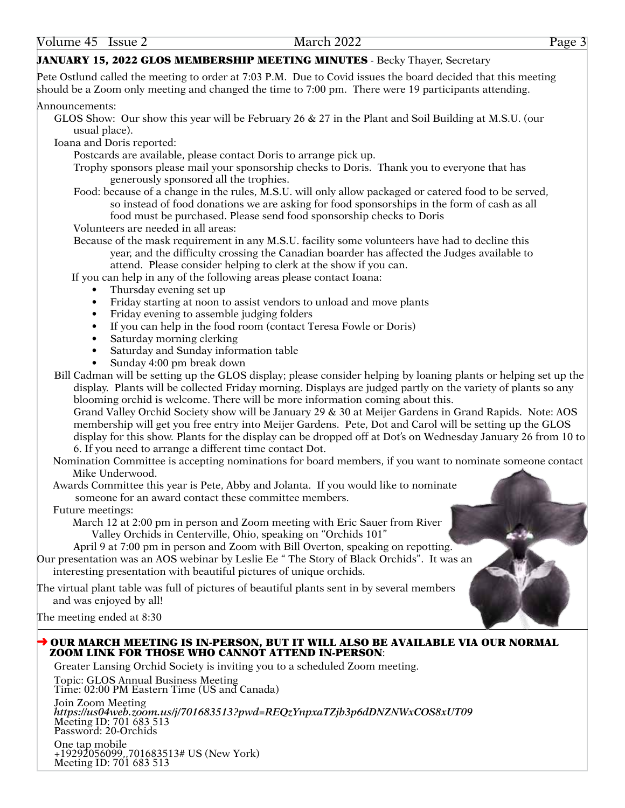### JANUARY 15, 2022 GLOS MEMBERSHIP MEETING MINUTES - Becky Thayer, Secretary

Pete Ostlund called the meeting to order at 7:03 P.M. Due to Covid issues the board decided that this meeting should be a Zoom only meeting and changed the time to 7:00 pm. There were 19 participants attending.

Announcements:

GLOS Show: Our show this year will be February 26 & 27 in the Plant and Soil Building at M.S.U. (our usual place).

Ioana and Doris reported:

Postcards are available, please contact Doris to arrange pick up.

- Trophy sponsors please mail your sponsorship checks to Doris. Thank you to everyone that has generously sponsored all the trophies.
- Food: because of a change in the rules, M.S.U. will only allow packaged or catered food to be served, so instead of food donations we are asking for food sponsorships in the form of cash as all food must be purchased. Please send food sponsorship checks to Doris

Volunteers are needed in all areas:

 Because of the mask requirement in any M.S.U. facility some volunteers have had to decline this year, and the difficulty crossing the Canadian boarder has affected the Judges available to attend. Please consider helping to clerk at the show if you can.

If you can help in any of the following areas please contact Ioana:

- Thursday evening set up
- Friday starting at noon to assist vendors to unload and move plants
- Friday evening to assemble judging folders
- If you can help in the food room (contact Teresa Fowle or Doris)
- Saturday morning clerking
- Saturday and Sunday information table
- Sunday 4:00 pm break down

Bill Cadman will be setting up the GLOS display; please consider helping by loaning plants or helping set up the display. Plants will be collected Friday morning. Displays are judged partly on the variety of plants so any blooming orchid is welcome. There will be more information coming about this.

Grand Valley Orchid Society show will be January 29 & 30 at Meijer Gardens in Grand Rapids. Note: AOS membership will get you free entry into Meijer Gardens. Pete, Dot and Carol will be setting up the GLOS display for this show. Plants for the display can be dropped off at Dot's on Wednesday January 26 from 10 to 6. If you need to arrange a different time contact Dot.

Nomination Committee is accepting nominations for board members, if you want to nominate someone contact Mike Underwood.

Awards Committee this year is Pete, Abby and Jolanta. If you would like to nominate someone for an award contact these committee members.

#### Future meetings:

March 12 at 2:00 pm in person and Zoom meeting with Eric Sauer from River Valley Orchids in Centerville, Ohio, speaking on "Orchids 101"

 April 9 at 7:00 pm in person and Zoom with Bill Overton, speaking on repotting. Our presentation was an AOS webinar by Leslie Ee " The Story of Black Orchids". It was an interesting presentation with beautiful pictures of unique orchids.

The virtual plant table was full of pictures of beautiful plants sent in by several members and was enjoyed by all!

The meeting ended at 8:30

#### ➜ OUR MARCH MEETING IS IN-PERSON, BUT IT WILL ALSO BE AVAILABLE VIA OUR NORMAL ZOOM LINK FOR THOSE WHO CANNOT ATTEND IN-PERSON:

Greater Lansing Orchid Society is inviting you to a scheduled Zoom meeting.

Topic: GLOS Annual Business Meeting Time: 02:00 PM Eastern Time (US and Canada)

Join Zoom Meeting *<https://us04web.zoom.us/j/701683513?pwd=REQzYnpxaTZjb3p6dDNZNWxCOS8xUT09>* Meeting ID: 701 683 513 Password: 20-Orchids

One tap mobile +19292056099,,701683513# US (New York) Meeting ID: 701 683 513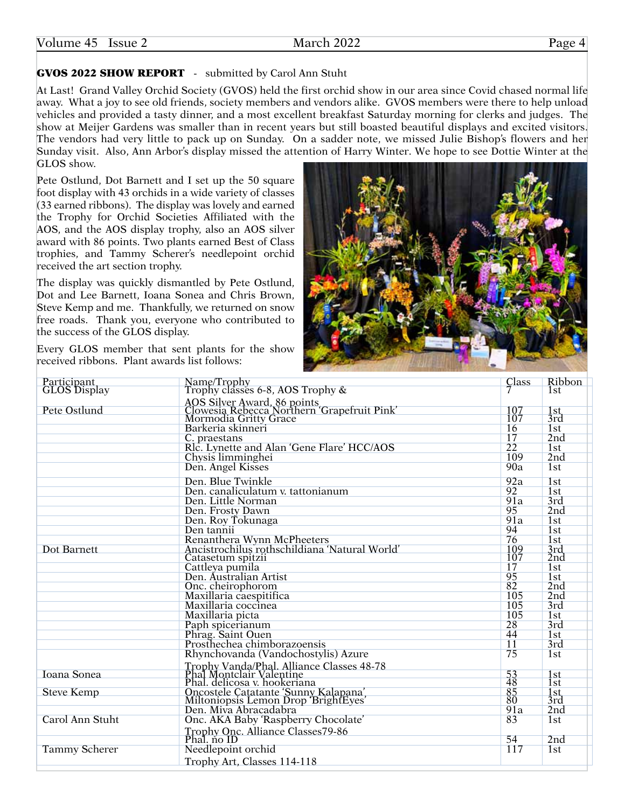# GVOS 2022 SHOW REPORT - submitted by Carol Ann Stuht

At Last! Grand Valley Orchid Society (GVOS) held the first orchid show in our area since Covid chased normal life away. What a joy to see old friends, society members and vendors alike. GVOS members were there to help unload vehicles and provided a tasty dinner, and a most excellent breakfast Saturday morning for clerks and judges. The show at Meijer Gardens was smaller than in recent years but still boasted beautiful displays and excited visitors. The vendors had very little to pack up on Sunday. On a sadder note, we missed Julie Bishop's flowers and her Sunday visit. Also, Ann Arbor's display missed the attention of Harry Winter. We hope to see Dottie Winter at the GLOS show.

Pete Ostlund, Dot Barnett and I set up the 50 square foot display with 43 orchids in a wide variety of classes (33 earned ribbons). The display was lovely and earned the Trophy for Orchid Societies Affiliated with the AOS, and the AOS display trophy, also an AOS silver award with 86 points. Two plants earned Best of Class trophies, and Tammy Scherer's needlepoint orchid received the art section trophy.

The display was quickly dismantled by Pete Ostlund, Dot and Lee Barnett, Ioana Sonea and Chris Brown, Steve Kemp and me. Thankfully, we returned on snow free roads. Thank you, everyone who contributed to the success of the GLOS display.

Every GLOS member that sent plants for the show received ribbons. Plant awards list follows:



| Participant<br><b>GLOS</b> Display | Name/Trophy<br>Trophy classes 6-8, AOS Trophy &                                                       | $\frac{Class}{7}$ | Ribbon<br>1st   |
|------------------------------------|-------------------------------------------------------------------------------------------------------|-------------------|-----------------|
|                                    |                                                                                                       |                   |                 |
| Pete Ostlund                       | AOS Silver Award, 86 points<br>Clowesia Rebecca Northern 'Grapefruit Pink'<br>Mormodia Gritty Grace   | 107               | 1st             |
|                                    |                                                                                                       |                   | 3rd             |
|                                    | Barkeria skinneri                                                                                     | 16                | 1st             |
|                                    | C. praestans                                                                                          | 17                | 2nd             |
|                                    | Rlc. Lynette and Alan 'Gene Flare' HCC/AOS                                                            | $\overline{22}$   | 1st             |
|                                    | Chysis limminghei                                                                                     | 109               | 2nd             |
|                                    | Den. Angel Kisses                                                                                     | 90a               | 1st             |
|                                    | Den. Blue Twinkle                                                                                     | 92a               | 1st             |
|                                    | Den. canaliculatum v. tattonianum                                                                     | 92                | 1st             |
|                                    | Den. Little Norman                                                                                    | 91a               | 3rd             |
|                                    | Den. Frosty Dawn                                                                                      | 95                | 2nd             |
|                                    | Den. Roy Tokunaga                                                                                     | 91a               | 1st             |
|                                    | Den tannii                                                                                            | 94                | 1st             |
|                                    | Renanthera Wynn McPheeters                                                                            | 76                | 1 <sub>st</sub> |
| Dot Barnett                        | Ancistrochilus rothschildiana 'Natural World'                                                         | 109               | 3rd             |
|                                    | Catasetum spitzii                                                                                     | 107               | 2nd             |
|                                    | Cattleya pumila                                                                                       | 17                | 1st             |
|                                    | Den. Australian Artist                                                                                | 95                | 1st             |
|                                    | Onc. cheirophorom                                                                                     | 82                | 2nd             |
|                                    | Maxillaria caespitifica                                                                               | 105               | 2nd             |
|                                    | Maxillaria coccinea                                                                                   | 105               | 3rd             |
|                                    | Maxillaria picta                                                                                      | 105               | 1st             |
|                                    | Paph spicerianum<br>Phrag. Saint Ouen                                                                 | 28                | 3rd             |
|                                    |                                                                                                       | 44                | 1st             |
|                                    | Prosthechea chimborazoensis                                                                           | $\overline{11}$   | 3rd             |
|                                    | Rhynchovanda (Vandochostylis) Azure                                                                   | 75                | 1st             |
|                                    | Trophy Vanda/Phal. Alliance Classes 48-78<br>Phal Montclair Valentine<br>Phal. delicosa v. hookeriana |                   |                 |
| <b>Ioana Sonea</b>                 |                                                                                                       | $\frac{53}{48}$   | 1 <sub>st</sub> |
|                                    |                                                                                                       |                   | 1st             |
| <b>Steve Kemp</b>                  | Oncostele Catatante 'Sunny Kalapana',<br>Miltoniopsis Lemon Drop 'BrightEyes'                         | $\frac{85}{80}$   | 1st<br>3rd      |
|                                    | Den. Miva Abracadabra                                                                                 | 91a               | 2nd             |
| Carol Ann Stuht                    | Onc. AKA Baby 'Raspberry Chocolate'                                                                   | 83                | 1st             |
|                                    | Trophy Onc. Alliance Classes79-86                                                                     |                   |                 |
|                                    | Phal. no ID                                                                                           | 54                | 2 <sub>nd</sub> |
| <b>Tammy Scherer</b>               | Needlepoint orchid                                                                                    | 117               | 1st             |
|                                    |                                                                                                       |                   |                 |
|                                    | Trophy Art, Classes 114-118                                                                           |                   |                 |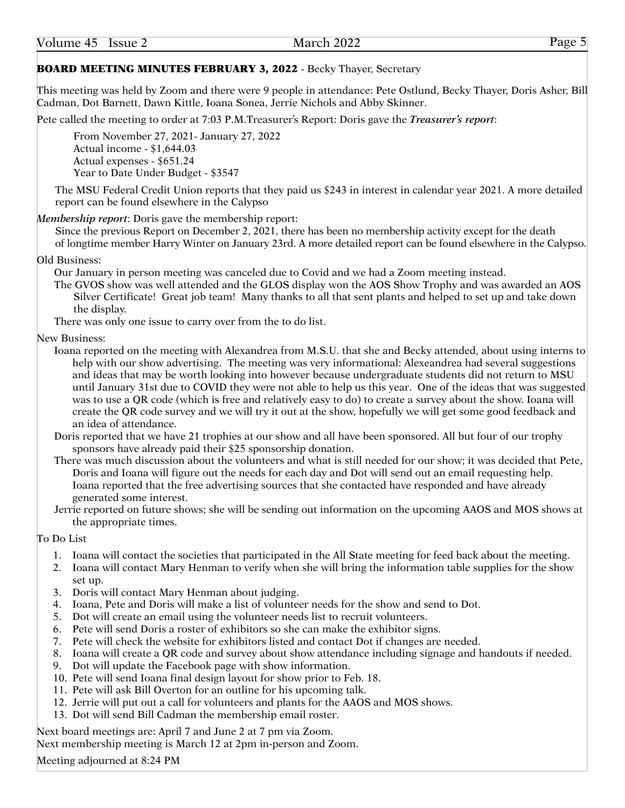# BOARD MEETING MINUTES FEBRUARY 3, 2022 - Becky Thayer, Secretary

This meeting was held by Zoom and there were 9 people in attendance: Pete Ostlund, Becky Thayer, Doris Asher, Bill Cadman, Dot Barnett, Dawn Kittle, Ioana Sonea, Jerrie Nichols and Abby Skinner.

Pete called the meeting to order at 7:03 [P.M.Treasurer'](P.M.Treasurer)s Report: Doris gave the *Treasurer's report*:

From November 27, 2021- January 27, 2022 Actual income - \$1,644.03 Actual expenses - \$651.24 Year to Date Under Budget - \$3547

The MSU Federal Credit Union reports that they paid us \$243 in interest in calendar year 2021. A more detailed report can be found elsewhere in the Calypso

#### *Membership report*: Doris gave the membership report:

Since the previous Report on December 2, 2021, there has been no membership activity except for the death of longtime member Harry Winter on January 23rd. A more detailed report can be found elsewhere in the Calypso.

#### Old Business:

Our January in person meeting was canceled due to Covid and we had a Zoom meeting instead.

The GVOS show was well attended and the GLOS display won the AOS Show Trophy and was awarded an AOS Silver Certificate! Great job team! Many thanks to all that sent plants and helped to set up and take down the display.

There was only one issue to carry over from the to do list.

#### New Business:

- Ioana reported on the meeting with Alexandrea from M.S.U. that she and Becky attended, about using interns to help with our show advertising. The meeting was very informational: Alexeandrea had several suggestions and ideas that may be worth looking into however because undergraduate students did not return to MSU until January 31st due to COVID they were not able to help us this year. One of the ideas that was suggested was to use a QR code (which is free and relatively easy to do) to create a survey about the show. Ioana will create the QR code survey and we will try it out at the show, hopefully we will get some good feedback and an idea of attendance.
- Doris reported that we have 21 trophies at our show and all have been sponsored. All but four of our trophy sponsors have already paid their \$25 sponsorship donation.
- There was much discussion about the volunteers and what is still needed for our show; it was decided that Pete, Doris and Ioana will figure out the needs for each day and Dot will send out an email requesting help. Ioana reported that the free advertising sources that she contacted have responded and have already generated some interest.
- Jerrie reported on future shows; she will be sending out information on the upcoming AAOS and MOS shows at the appropriate times.

#### To Do List

- 1. Ioana will contact the societies that participated in the All State meeting for feed back about the meeting.
- 2. Ioana will contact Mary Henman to verify when she will bring the information table supplies for the show set up.
- 3. Doris will contact Mary Henman about judging.
- 4. Ioana, Pete and Doris will make a list of volunteer needs for the show and send to Dot.
- 5. Dot will create an email using the volunteer needs list to recruit volunteers.
- 6. Pete will send Doris a roster of exhibitors so she can make the exhibitor signs.
- 7. Pete will check the website for exhibitors listed and contact Dot if changes are needed.
- 8. Ioana will create a QR code and survey about show attendance including signage and handouts if needed.
- 9. Dot will update the Facebook page with show information.
- 10. Pete will send Ioana final design layout for show prior to Feb. 18.
- 11. Pete will ask Bill Overton for an outline for his upcoming talk.
- 12. Jerrie will put out a call for volunteers and plants for the AAOS and MOS shows.
- 13. Dot will send Bill Cadman the membership email roster.

Next board meetings are: April 7 and June 2 at 7 pm via Zoom. Next membership meeting is March 12 at 2pm in-person and Zoom.

Meeting adjourned at 8:24 PM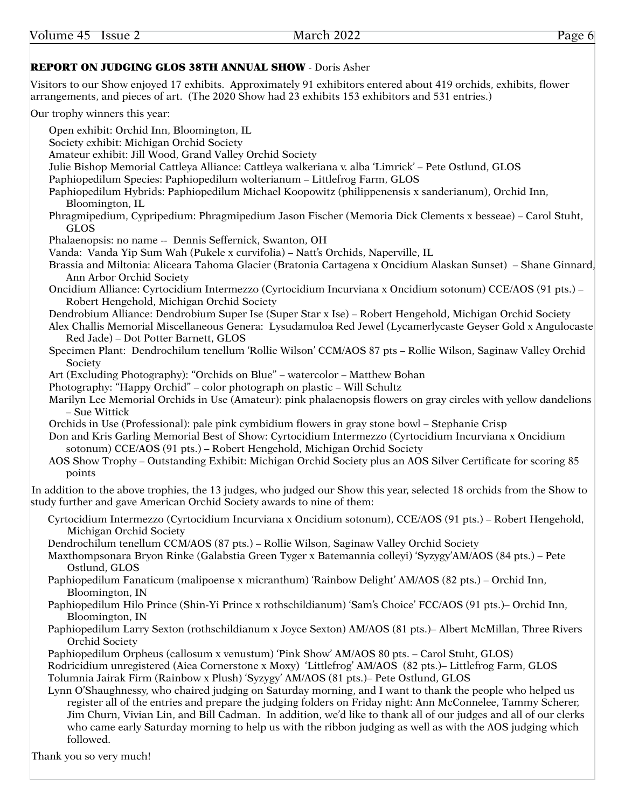### REPORT ON JUDGING GLOS 38TH ANNUAL SHOW - Doris Asher

Visitors to our Show enjoyed 17 exhibits. Approximately 91 exhibitors entered about 419 orchids, exhibits, flower arrangements, and pieces of art. (The 2020 Show had 23 exhibits 153 exhibitors and 531 entries.)

#### Our trophy winners this year:

Open exhibit: Orchid Inn, Bloomington, IL Society exhibit: Michigan Orchid Society Amateur exhibit: Jill Wood, Grand Valley Orchid Society Julie Bishop Memorial Cattleya Alliance: Cattleya walkeriana v. alba 'Limrick' – Pete Ostlund, GLOS Paphiopedilum Species: Paphiopedilum wolterianum – Littlefrog Farm, GLOS Paphiopedilum Hybrids: Paphiopedilum Michael Koopowitz (philippenensis x sanderianum), Orchid Inn, Bloomington, IL Phragmipedium, Cypripedium: Phragmipedium Jason Fischer (Memoria Dick Clements x besseae) – Carol Stuht, GLOS Phalaenopsis: no name -- Dennis Seffernick, Swanton, OH Vanda: Vanda Yip Sum Wah (Pukele x curvifolia) – Natt's Orchids, Naperville, IL Brassia and Miltonia: Aliceara Tahoma Glacier (Bratonia Cartagena x Oncidium Alaskan Sunset) – Shane Ginnard, Ann Arbor Orchid Society Oncidium Alliance: Cyrtocidium Intermezzo (Cyrtocidium Incurviana x Oncidium sotonum) CCE/AOS (91 pts.) – Robert Hengehold, Michigan Orchid Society Dendrobium Alliance: Dendrobium Super Ise (Super Star x Ise) – Robert Hengehold, Michigan Orchid Society Alex Challis Memorial Miscellaneous Genera: Lysudamuloa Red Jewel (Lycamerlycaste Geyser Gold x Angulocaste Red Jade) – Dot Potter Barnett, GLOS Specimen Plant: Dendrochilum tenellum 'Rollie Wilson' CCM/AOS 87 pts – Rollie Wilson, Saginaw Valley Orchid **Society** Art (Excluding Photography): "Orchids on Blue" – watercolor – Matthew Bohan Photography: "Happy Orchid" – color photograph on plastic – Will Schultz Marilyn Lee Memorial Orchids in Use (Amateur): pink phalaenopsis flowers on gray circles with yellow dandelions – Sue Wittick Orchids in Use (Professional): pale pink cymbidium flowers in gray stone bowl – Stephanie Crisp Don and Kris Garling Memorial Best of Show: Cyrtocidium Intermezzo (Cyrtocidium Incurviana x Oncidium sotonum) CCE/AOS (91 pts.) – Robert Hengehold, Michigan Orchid Society AOS Show Trophy – Outstanding Exhibit: Michigan Orchid Society plus an AOS Silver Certificate for scoring 85 points In addition to the above trophies, the 13 judges, who judged our Show this year, selected 18 orchids from the Show to study further and gave American Orchid Society awards to nine of them: Cyrtocidium Intermezzo (Cyrtocidium Incurviana x Oncidium sotonum), CCE/AOS (91 pts.) – Robert Hengehold, Michigan Orchid Society Dendrochilum tenellum CCM/AOS (87 pts.) – Rollie Wilson, Saginaw Valley Orchid Society Maxthompsonara Bryon Rinke (Galabstia Green Tyger x Batemannia colleyi) 'Syzygy'AM/AOS (84 pts.) – Pete Ostlund, GLOS Paphiopedilum Fanaticum (malipoense x micranthum) 'Rainbow Delight' AM/AOS (82 pts.) – Orchid Inn, Bloomington, IN Paphiopedilum Hilo Prince (Shin-Yi Prince x rothschildianum) 'Sam's Choice' FCC/AOS (91 pts.)– Orchid Inn, Bloomington, IN Paphiopedilum Larry Sexton (rothschildianum x Joyce Sexton) AM/AOS (81 pts.)– Albert McMillan, Three Rivers Orchid Society Paphiopedilum Orpheus (callosum x venustum) 'Pink Show' AM/AOS 80 pts. – Carol Stuht, GLOS) Rodricidium unregistered (Aiea Cornerstone x Moxy) 'Littlefrog' AM/AOS (82 pts.)– Littlefrog Farm, GLOS Tolumnia Jairak Firm (Rainbow x Plush) 'Syzygy' AM/AOS (81 pts.)– Pete Ostlund, GLOS Lynn O'Shaughnessy, who chaired judging on Saturday morning, and I want to thank the people who helped us register all of the entries and prepare the judging folders on Friday night: Ann McConnelee, Tammy Scherer, Jim Churn, Vivian Lin, and Bill Cadman. In addition, we'd like to thank all of our judges and all of our clerks who came early Saturday morning to help us with the ribbon judging as well as with the AOS judging which followed. Thank you so very much!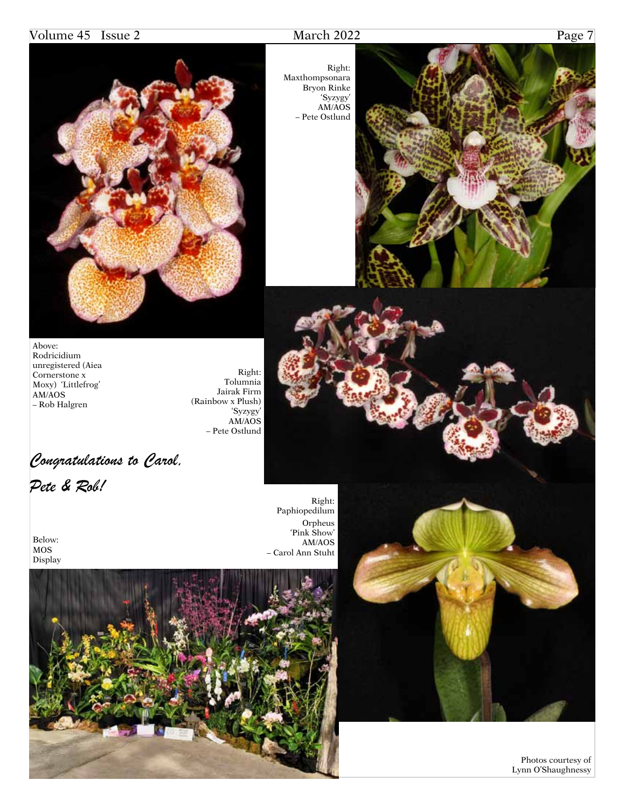# Volume 45 Issue 2 March 2022 Page 7

 Photos courtesy of Lynn O'Shaughnessy



Right: Maxthompsonara Bryon Rinke 'Syzygy' AM/AOS – Pete Ostlund



Above: Rodricidium unregistered (Aiea Cornerstone x Moxy) 'Littlefrog' AM/AOS – Rob Halgren

Right: Tolumnia Jairak Firm (Rainbow x Plush) 'Syzygy' AM/AOS – Pete Ostlund

*Congratulations to Carol,* 

*Pete & Rob!*

Below: MOS Display

Right: Paphiopedilum Orpheus 'Pink Show' AM/AOS – Carol Ann Stuht

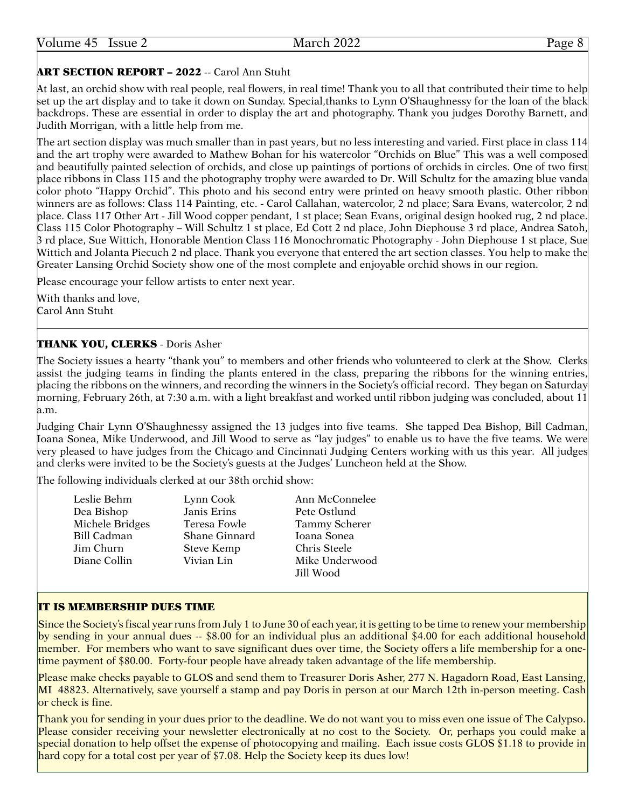# **ART SECTION REPORT - 2022 -- Carol Ann Stuht**

At last, an orchid show with real people, real flowers, in real time! Thank you to all that contributed their time to help set up the art display and to take it down on Sunday. Special,thanks to Lynn O'Shaughnessy for the loan of the black backdrops. These are essential in order to display the art and photography. Thank you judges Dorothy Barnett, and Judith Morrigan, with a little help from me.

The art section display was much smaller than in past years, but no less interesting and varied. First place in class 114 and the art trophy were awarded to Mathew Bohan for his watercolor "Orchids on Blue" This was a well composed and beautifully painted selection of orchids, and close up paintings of portions of orchids in circles. One of two first place ribbons in Class 115 and the photography trophy were awarded to Dr. Will Schultz for the amazing blue vanda color photo "Happy Orchid". This photo and his second entry were printed on heavy smooth plastic. Other ribbon winners are as follows: Class 114 Painting, etc. - Carol Callahan, watercolor, 2 nd place; Sara Evans, watercolor, 2 nd place. Class 117 Other Art - Jill Wood copper pendant, 1 st place; Sean Evans, original design hooked rug, 2 nd place. Class 115 Color Photography – Will Schultz 1 st place, Ed Cott 2 nd place, John Diephouse 3 rd place, Andrea Satoh, 3 rd place, Sue Wittich, Honorable Mention Class 116 Monochromatic Photography - John Diephouse 1 st place, Sue Wittich and Jolanta Piecuch 2 nd place. Thank you everyone that entered the art section classes. You help to make the Greater Lansing Orchid Society show one of the most complete and enjoyable orchid shows in our region.

Please encourage your fellow artists to enter next year.

With thanks and love, Carol Ann Stuht

# THANK YOU, CLERKS - Doris Asher

The Society issues a hearty "thank you" to members and other friends who volunteered to clerk at the Show. Clerks assist the judging teams in finding the plants entered in the class, preparing the ribbons for the winning entries, placing the ribbons on the winners, and recording the winners in the Society's official record. They began on Saturday morning, February 26th, at 7:30 a.m. with a light breakfast and worked until ribbon judging was concluded, about 11 a.m.

Judging Chair Lynn O'Shaughnessy assigned the 13 judges into five teams. She tapped Dea Bishop, Bill Cadman, Ioana Sonea, Mike Underwood, and Jill Wood to serve as "lay judges" to enable us to have the five teams. We were very pleased to have judges from the Chicago and Cincinnati Judging Centers working with us this year. All judges and clerks were invited to be the Society's guests at the Judges' Luncheon held at the Show.

The following individuals clerked at our 38th orchid show:

| Leslie Behm        | Lynn Cook         | Ann McConnelee |
|--------------------|-------------------|----------------|
| Dea Bishop         | Janis Erins       | Pete Ostlund   |
| Michele Bridges    | Teresa Fowle      | Tammy Scherer  |
| <b>Bill Cadman</b> | Shane Ginnard     | Ioana Sonea    |
| Jim Churn          | <b>Steve Kemp</b> | Chris Steele   |
| Diane Collin       | Vivian Lin        | Mike Underwood |
|                    |                   | Jill Wood      |

# IT IS MEMBERSHIP DUES TIME

Since the Society's fiscal year runs from July 1 to June 30 of each year, it is getting to be time to renew your membership by sending in your annual dues -- \$8.00 for an individual plus an additional \$4.00 for each additional household member. For members who want to save significant dues over time, the Society offers a life membership for a onetime payment of \$80.00. Forty-four people have already taken advantage of the life membership.

Please make checks payable to GLOS and send them to Treasurer Doris Asher, 277 N. Hagadorn Road, East Lansing, MI 48823. Alternatively, save yourself a stamp and pay Doris in person at our March 12th in-person meeting. Cash or check is fine.

Thank you for sending in your dues prior to the deadline. We do not want you to miss even one issue of The Calypso. Please consider receiving your newsletter electronically at no cost to the Society. Or, perhaps you could make a special donation to help offset the expense of photocopying and mailing. Each issue costs GLOS \$1.18 to provide in hard copy for a total cost per year of \$7.08. Help the Society keep its dues low!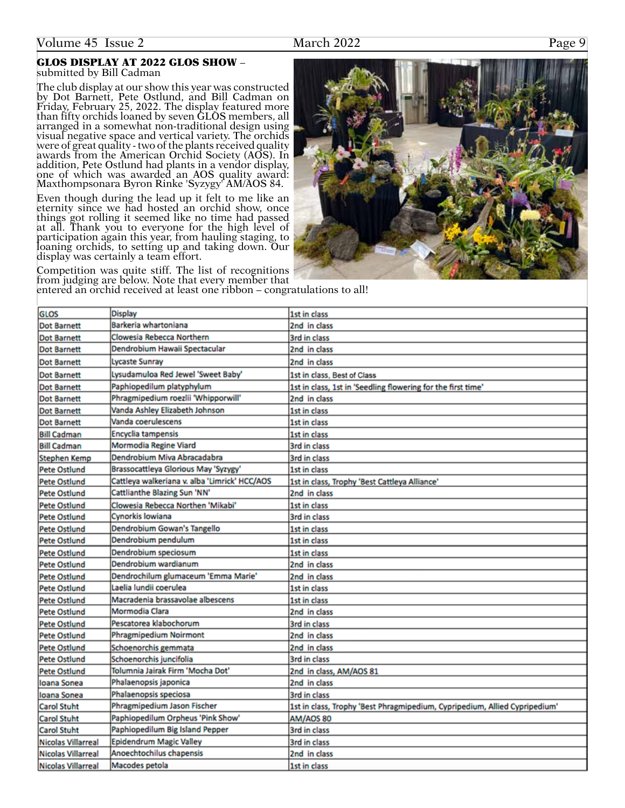#### GLOS DISPLAY AT 2022 GLOS SHOW – submitted by Bill Cadman

The club display at our show this year was constructed by Dot Barnett, Pete Ostlund, and Bill Cadman on Friday, February 25, 2022. The display featured more than fifty orchids loaned by seven GLOS members, all arranged in a somewhat non-traditional design using visual negative space and vertical variety. The orchids were of great quality - two of the plants received quality awards from the American Orchid Society (AOS). In addition, Pete Ostlund had plants in a vendor display, one of which was awarded an AOS quality award: Maxthompsonara Byron Rinke 'Syzygy' AM/AOS 84.

Even though during the lead up it felt to me like an eternity since we had hosted an orchid show, once things got rolling it seemed like no time had passed at all. Thank you to everyone for the high level of participation again this year, from hauling staging, to loaning orchids, to setting up and taking down. Our display was certainly a team effort.

Dendrobium wardianum

Pescatorea klabochorum

Schoenorchis gemmata Schoenorchis juncifolia

Phalaenopsis japonica

Phalaenopsis speciosa

Epidendrum Magic Valley

Anoechtochilus chapensis

Macodes petola

Phragmipedium Noirmont

Laelia lundii coerulea

Mormodia Clara

Dendrochilum glumaceum 'Emma Marie'

Macradenia brassavolae albescens

Tolumnia Jairak Firm 'Mocha Dot'

Phragmipedium Jason Fischer

Paphiopedilum Orpheus 'Pink Show'

Paphiopedilum Big Island Pepper

Pete Ostlund

**Pete Ostlund** 

**Pete Ostlund** 

**Pete Ostlund** 

**Pete Ostlund** 

Pete Ostlund

Pete Ostlund

Pete Ostlund

**Pete Ostlund** 

**Pete Ostlund** 

loana Sonea

Ioana Sonea **Carol Stuht** 

**Carol Stuht** 

**Carol Stuht** 

Nicolas Villarreal

Nicolas Villarreal

**Nicolas Villarreal** 

Competition was quite stiff. The list of recognitions from judging are below. Note that every member that

**Dot Barnett Lycaste Sunray** 2nd in class **Dot Barnett** Lysudamuloa Red Jewel 'Sweet Baby' 1st in class, Best of Class Paphiopedilum platyphylum Dot Barnett 1st in class, 1st in 'Seedling flowering for the first time' Phragmipedium roezlii 'Whipporwill' **Dot Barnett** 2nd in class Vanda Ashley Elizabeth Johnson **Dot Barnett** 1st in class Vanda coerulescens 1st in class **Dot Barnett** Encyclia tampensis **Bill Cadman** 1st in class Mormodia Regine Viard **Bill Cadman** 3rd in class **Stephen Kemp** Dendrobium Miva Abracadabra 3rd in class **Pete Ostlund** Brassocattleya Glorious May 'Syzygy' 1st in class Cattleya walkeriana v. alba 'Limrick' HCC/AOS **Pete Ostlund** 1st in class, Trophy 'Best Cattleya Alliance' **Pete Ostlund** Cattlianthe Blazing Sun 'NN' 2nd in class Pete Ostlund Clowesia Rebecca Northen 'Mikabi' 1st in class Cynorkis Iowiana **Pete Ostlund** 3rd in class Dendrobium Gowan's Tangello **Pete Ostlund** 1st in class Dendrobium pendulum **Pete Ostlund** 1st in class **Pete Ostlund** Dendrobium speciosum 1st in class

2nd in class

2nd in class

1st in class

1st in class

2nd in class

**3rd in class** 

2nd in class 2nd in class

3rd in class

2nd in class

3rd in class

AM/AOS 80

3rd in class

3rd in class

2nd in class

1st in class

2nd in class, AM/AOS 81

1st in class, Trophy 'Best Phragmipedium, Cypripedium, Allied Cypripedium'

entered an orchid received at least one ribbon – congratulations to all!**GLOS Display** 1st in class Barkeria whartoniana 2nd in class **Dot Barnett** Clowesia Rebecca Northern Dot Barnett **3rd in class** Dendrobium Hawaii Spectacular 2nd in class **Dot Barnett** 

| he club display at our show this year was constructed     |
|-----------------------------------------------------------|
| y Dot Barnett, Pete Ostlund, and Bill Cadman on           |
| riday, February 25, 2022. The display featured more       |
| ian fifty orchids loaned by seven ĜLŎS members, all       |
| rranged in a somewhat non-traditional design using        |
| sual negative space and vertical variety. The orchids     |
| ere of great quality - two of the plants received quality |
| wards from the American Orchid Society (AOS). In          |
| ddition, Pete Ostlund had plants in a vendor display,     |
|                                                           |

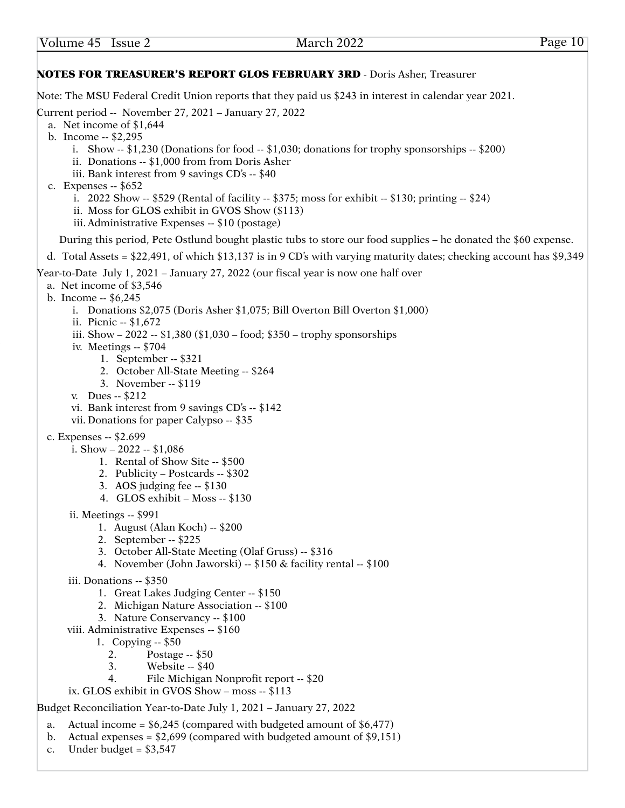### NOTES FOR TREASURER'S REPORT GLOS FEBRUARY 3RD - Doris Asher, Treasurer Note: The MSU Federal Credit Union reports that they paid us \$243 in interest in calendar year 2021. Current period -- November 27, 2021 – January 27, 2022 a. Net income of \$1,644 b. Income -- \$2,295 i. Show  $-$  \$1,230 (Donations for food  $-$  \$1,030; donations for trophy sponsorships  $-$  \$200) ii. Donations -- \$1,000 from from Doris Asher iii. Bank interest from 9 savings CD's -- \$40 c. Expenses -- \$652 i. 2022 Show  $-$  \$529 (Rental of facility  $-$  \$375; moss for exhibit  $-$  \$130; printing  $-$  \$24) ii. Moss for GLOS exhibit in GVOS Show (\$113) iii. Administrative Expenses -- \$10 (postage) During this period, Pete Ostlund bought plastic tubs to store our food supplies – he donated the \$60 expense. d. Total Assets = \$22,491, of which \$13,137 is in 9 CD's with varying maturity dates; checking account has \$9,349 Year-to-Date July 1, 2021 – January 27, 2022 (our fiscal year is now one half over a. Net income of \$3,546 b. Income -- \$6,245 i. Donations \$2,075 (Doris Asher \$1,075; Bill Overton Bill Overton \$1,000) ii. Picnic -- \$1,672 iii. Show – 2022 -- \$1,380 (\$1,030 – food; \$350 – trophy sponsorships iv. Meetings -- \$704 1. September -- \$321 2. October All-State Meeting -- \$264 3. November -- \$119 v. Dues -- \$212 vi. Bank interest from 9 savings CD's -- \$142 vii. Donations for paper Calypso -- \$35 c. Expenses -- \$2.699 i. Show – 2022 -- \$1,086 1. Rental of Show Site -- \$500 2. Publicity – Postcards -- \$302 3. AOS judging fee -- \$130 4. GLOS exhibit – Moss -- \$130 ii. Meetings -- \$991 1. August (Alan Koch) -- \$200 2. September -- \$225 3. October All-State Meeting (Olaf Gruss) -- \$316 4. November (John Jaworski) -- \$150 & facility rental -- \$100 iii. Donations -- \$350 1. Great Lakes Judging Center -- \$150 2. Michigan Nature Association -- \$100 3. Nature Conservancy -- \$100 viii. Administrative Expenses -- \$160 1. Copying -- \$50 2. Postage -- \$50 3. Website -- \$40 4. File Michigan Nonprofit report -- \$20 ix. GLOS exhibit in GVOS Show – moss -- \$113 Budget Reconciliation Year-to-Date July 1, 2021 – January 27, 2022 a. Actual income =  $$6,245$  (compared with budgeted amount of  $$6,477$ ) b. Actual expenses =  $$2,699$  (compared with budgeted amount of  $$9,151$ )

c. Under budget =  $$3,547$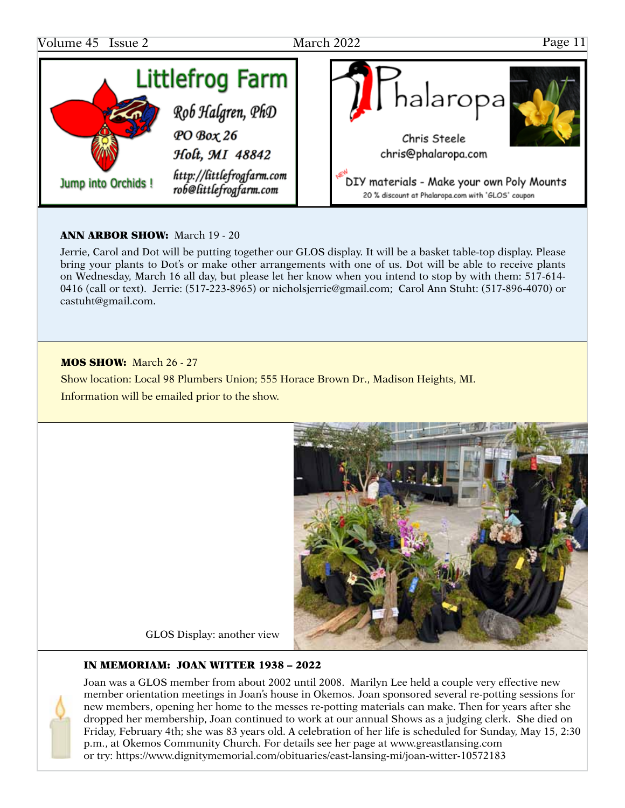

### ANN ARBOR SHOW: March 19 - 20

Jerrie, Carol and Dot will be putting together our GLOS display. It will be a basket table-top display. Please bring your plants to Dot's or make other arrangements with one of us. Dot will be able to receive plants on Wednesday, March 16 all day, but please let her know when you intend to stop by with them: 517-614- 0416 (call or text). Jerrie: (517-223-8965) or nicholsjerrie@gmail.com; Carol Ann Stuht: (517-896-4070) or [castuht@gmail.com](mailto:castuht@gmail.com).

#### MOS SHOW: March 26 - 27

Show location: Local 98 Plumbers Union; 555 Horace Brown Dr., Madison Heights, MI. Information will be emailed prior to the show.



GLOS Display: another view

### IN MEMORIAM: JOAN WITTER 1938 – 2022



Joan was a GLOS member from about 2002 until 2008. Marilyn Lee held a couple very effective new member orientation meetings in Joan's house in Okemos. Joan sponsored several re-potting sessions for new members, opening her home to the messes re-potting materials can make. Then for years after she dropped her membership, Joan continued to work at our annual Shows as a judging clerk. She died on Friday, February 4th; she was 83 years old. A celebration of her life is scheduled for Sunday, May 15, 2:30 p.m., at Okemos Community Church. For details see her page at<www.greastlansing.com> or try:<https://www.dignitymemorial.com/obituaries/east-lansing-mi/joan>-witter-10572183